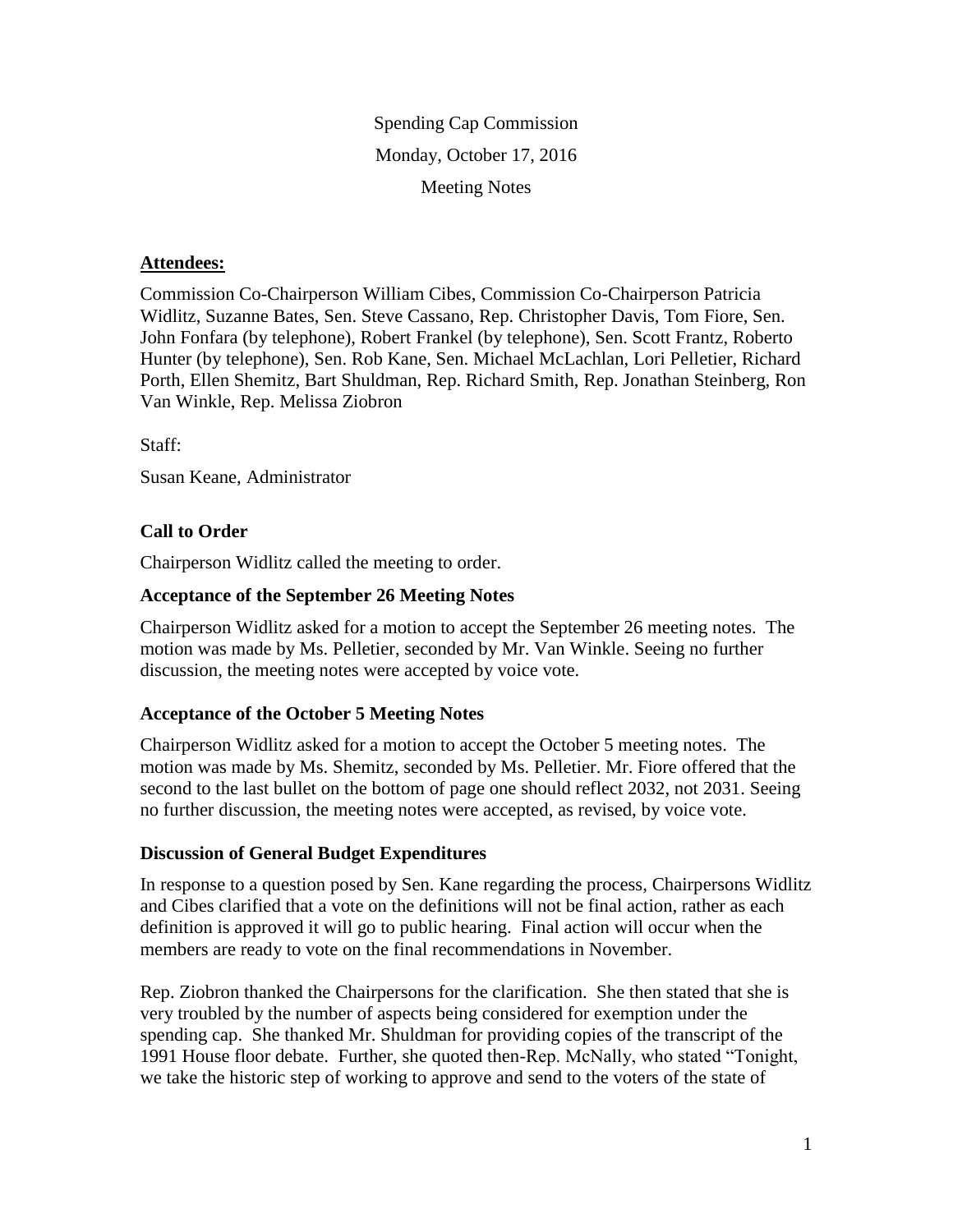Spending Cap Commission Monday, October 17, 2016 Meeting Notes

## **Attendees:**

Commission Co-Chairperson William Cibes, Commission Co-Chairperson Patricia Widlitz, Suzanne Bates, Sen. Steve Cassano, Rep. Christopher Davis, Tom Fiore, Sen. John Fonfara (by telephone), Robert Frankel (by telephone), Sen. Scott Frantz, Roberto Hunter (by telephone), Sen. Rob Kane, Sen. Michael McLachlan, Lori Pelletier, Richard Porth, Ellen Shemitz, Bart Shuldman, Rep. Richard Smith, Rep. Jonathan Steinberg, Ron Van Winkle, Rep. Melissa Ziobron

Staff:

Susan Keane, Administrator

## **Call to Order**

Chairperson Widlitz called the meeting to order.

#### **Acceptance of the September 26 Meeting Notes**

Chairperson Widlitz asked for a motion to accept the September 26 meeting notes. The motion was made by Ms. Pelletier, seconded by Mr. Van Winkle. Seeing no further discussion, the meeting notes were accepted by voice vote.

## **Acceptance of the October 5 Meeting Notes**

Chairperson Widlitz asked for a motion to accept the October 5 meeting notes. The motion was made by Ms. Shemitz, seconded by Ms. Pelletier. Mr. Fiore offered that the second to the last bullet on the bottom of page one should reflect 2032, not 2031. Seeing no further discussion, the meeting notes were accepted, as revised, by voice vote.

#### **Discussion of General Budget Expenditures**

In response to a question posed by Sen. Kane regarding the process, Chairpersons Widlitz and Cibes clarified that a vote on the definitions will not be final action, rather as each definition is approved it will go to public hearing. Final action will occur when the members are ready to vote on the final recommendations in November.

Rep. Ziobron thanked the Chairpersons for the clarification. She then stated that she is very troubled by the number of aspects being considered for exemption under the spending cap. She thanked Mr. Shuldman for providing copies of the transcript of the 1991 House floor debate. Further, she quoted then-Rep. McNally, who stated "Tonight, we take the historic step of working to approve and send to the voters of the state of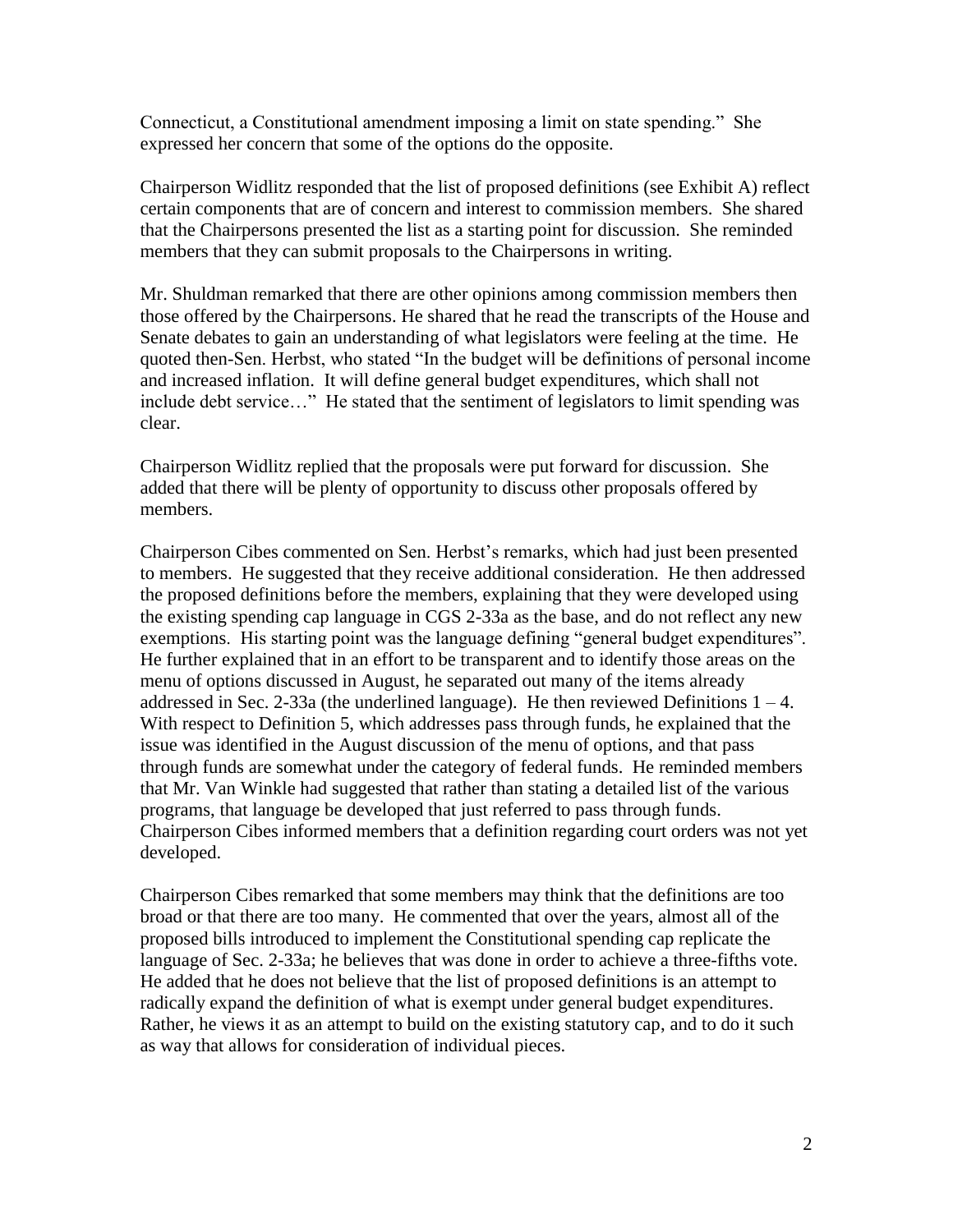Connecticut, a Constitutional amendment imposing a limit on state spending." She expressed her concern that some of the options do the opposite.

Chairperson Widlitz responded that the list of proposed definitions (see Exhibit A) reflect certain components that are of concern and interest to commission members. She shared that the Chairpersons presented the list as a starting point for discussion. She reminded members that they can submit proposals to the Chairpersons in writing.

Mr. Shuldman remarked that there are other opinions among commission members then those offered by the Chairpersons. He shared that he read the transcripts of the House and Senate debates to gain an understanding of what legislators were feeling at the time. He quoted then-Sen. Herbst, who stated "In the budget will be definitions of personal income and increased inflation. It will define general budget expenditures, which shall not include debt service…" He stated that the sentiment of legislators to limit spending was clear.

Chairperson Widlitz replied that the proposals were put forward for discussion. She added that there will be plenty of opportunity to discuss other proposals offered by members.

Chairperson Cibes commented on Sen. Herbst's remarks, which had just been presented to members. He suggested that they receive additional consideration. He then addressed the proposed definitions before the members, explaining that they were developed using the existing spending cap language in CGS 2-33a as the base, and do not reflect any new exemptions. His starting point was the language defining "general budget expenditures". He further explained that in an effort to be transparent and to identify those areas on the menu of options discussed in August, he separated out many of the items already addressed in Sec. 2-33a (the underlined language). He then reviewed Definitions  $1 - 4$ . With respect to Definition 5, which addresses pass through funds, he explained that the issue was identified in the August discussion of the menu of options, and that pass through funds are somewhat under the category of federal funds. He reminded members that Mr. Van Winkle had suggested that rather than stating a detailed list of the various programs, that language be developed that just referred to pass through funds. Chairperson Cibes informed members that a definition regarding court orders was not yet developed.

Chairperson Cibes remarked that some members may think that the definitions are too broad or that there are too many. He commented that over the years, almost all of the proposed bills introduced to implement the Constitutional spending cap replicate the language of Sec. 2-33a; he believes that was done in order to achieve a three-fifths vote. He added that he does not believe that the list of proposed definitions is an attempt to radically expand the definition of what is exempt under general budget expenditures. Rather, he views it as an attempt to build on the existing statutory cap, and to do it such as way that allows for consideration of individual pieces.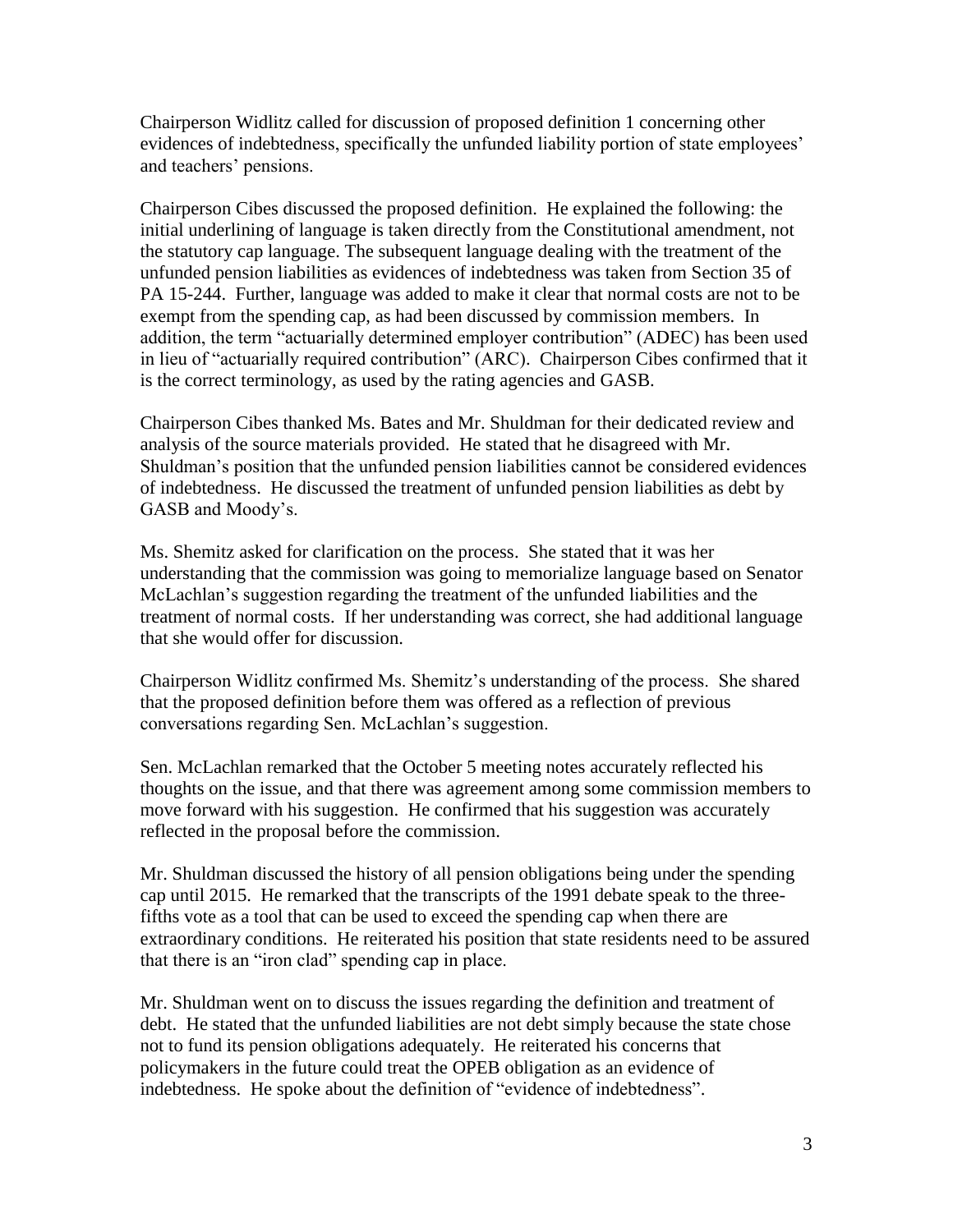Chairperson Widlitz called for discussion of proposed definition 1 concerning other evidences of indebtedness, specifically the unfunded liability portion of state employees' and teachers' pensions.

Chairperson Cibes discussed the proposed definition. He explained the following: the initial underlining of language is taken directly from the Constitutional amendment, not the statutory cap language. The subsequent language dealing with the treatment of the unfunded pension liabilities as evidences of indebtedness was taken from Section 35 of PA 15-244. Further, language was added to make it clear that normal costs are not to be exempt from the spending cap, as had been discussed by commission members. In addition, the term "actuarially determined employer contribution" (ADEC) has been used in lieu of "actuarially required contribution" (ARC). Chairperson Cibes confirmed that it is the correct terminology, as used by the rating agencies and GASB.

Chairperson Cibes thanked Ms. Bates and Mr. Shuldman for their dedicated review and analysis of the source materials provided. He stated that he disagreed with Mr. Shuldman's position that the unfunded pension liabilities cannot be considered evidences of indebtedness. He discussed the treatment of unfunded pension liabilities as debt by GASB and Moody's.

Ms. Shemitz asked for clarification on the process. She stated that it was her understanding that the commission was going to memorialize language based on Senator McLachlan's suggestion regarding the treatment of the unfunded liabilities and the treatment of normal costs. If her understanding was correct, she had additional language that she would offer for discussion.

Chairperson Widlitz confirmed Ms. Shemitz's understanding of the process. She shared that the proposed definition before them was offered as a reflection of previous conversations regarding Sen. McLachlan's suggestion.

Sen. McLachlan remarked that the October 5 meeting notes accurately reflected his thoughts on the issue, and that there was agreement among some commission members to move forward with his suggestion. He confirmed that his suggestion was accurately reflected in the proposal before the commission.

Mr. Shuldman discussed the history of all pension obligations being under the spending cap until 2015. He remarked that the transcripts of the 1991 debate speak to the threefifths vote as a tool that can be used to exceed the spending cap when there are extraordinary conditions. He reiterated his position that state residents need to be assured that there is an "iron clad" spending cap in place.

Mr. Shuldman went on to discuss the issues regarding the definition and treatment of debt. He stated that the unfunded liabilities are not debt simply because the state chose not to fund its pension obligations adequately. He reiterated his concerns that policymakers in the future could treat the OPEB obligation as an evidence of indebtedness. He spoke about the definition of "evidence of indebtedness".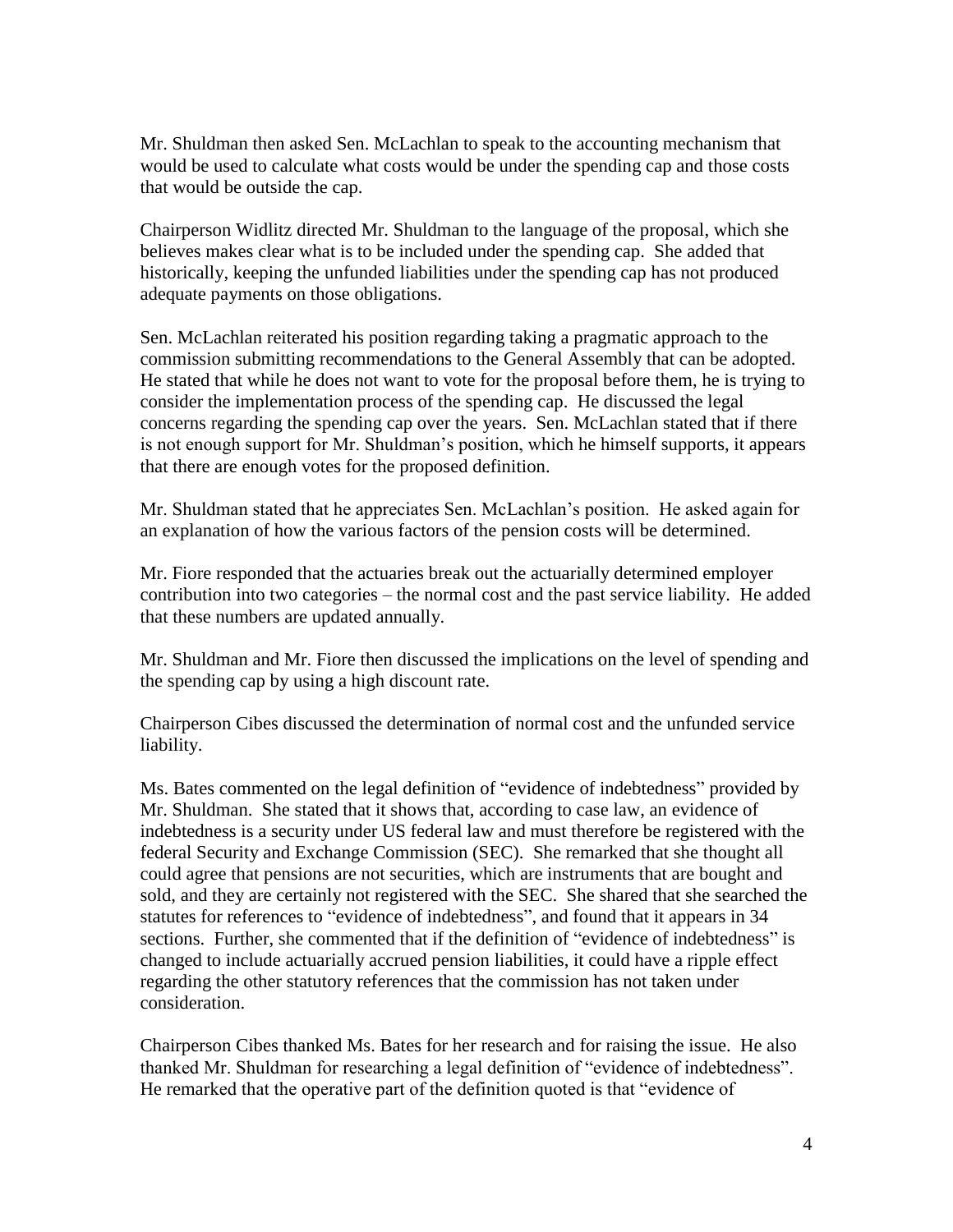Mr. Shuldman then asked Sen. McLachlan to speak to the accounting mechanism that would be used to calculate what costs would be under the spending cap and those costs that would be outside the cap.

Chairperson Widlitz directed Mr. Shuldman to the language of the proposal, which she believes makes clear what is to be included under the spending cap. She added that historically, keeping the unfunded liabilities under the spending cap has not produced adequate payments on those obligations.

Sen. McLachlan reiterated his position regarding taking a pragmatic approach to the commission submitting recommendations to the General Assembly that can be adopted. He stated that while he does not want to vote for the proposal before them, he is trying to consider the implementation process of the spending cap. He discussed the legal concerns regarding the spending cap over the years. Sen. McLachlan stated that if there is not enough support for Mr. Shuldman's position, which he himself supports, it appears that there are enough votes for the proposed definition.

Mr. Shuldman stated that he appreciates Sen. McLachlan's position. He asked again for an explanation of how the various factors of the pension costs will be determined.

Mr. Fiore responded that the actuaries break out the actuarially determined employer contribution into two categories – the normal cost and the past service liability. He added that these numbers are updated annually.

Mr. Shuldman and Mr. Fiore then discussed the implications on the level of spending and the spending cap by using a high discount rate.

Chairperson Cibes discussed the determination of normal cost and the unfunded service liability.

Ms. Bates commented on the legal definition of "evidence of indebtedness" provided by Mr. Shuldman. She stated that it shows that, according to case law, an evidence of indebtedness is a security under US federal law and must therefore be registered with the federal Security and Exchange Commission (SEC). She remarked that she thought all could agree that pensions are not securities, which are instruments that are bought and sold, and they are certainly not registered with the SEC. She shared that she searched the statutes for references to "evidence of indebtedness", and found that it appears in 34 sections. Further, she commented that if the definition of "evidence of indebtedness" is changed to include actuarially accrued pension liabilities, it could have a ripple effect regarding the other statutory references that the commission has not taken under consideration.

Chairperson Cibes thanked Ms. Bates for her research and for raising the issue. He also thanked Mr. Shuldman for researching a legal definition of "evidence of indebtedness". He remarked that the operative part of the definition quoted is that "evidence of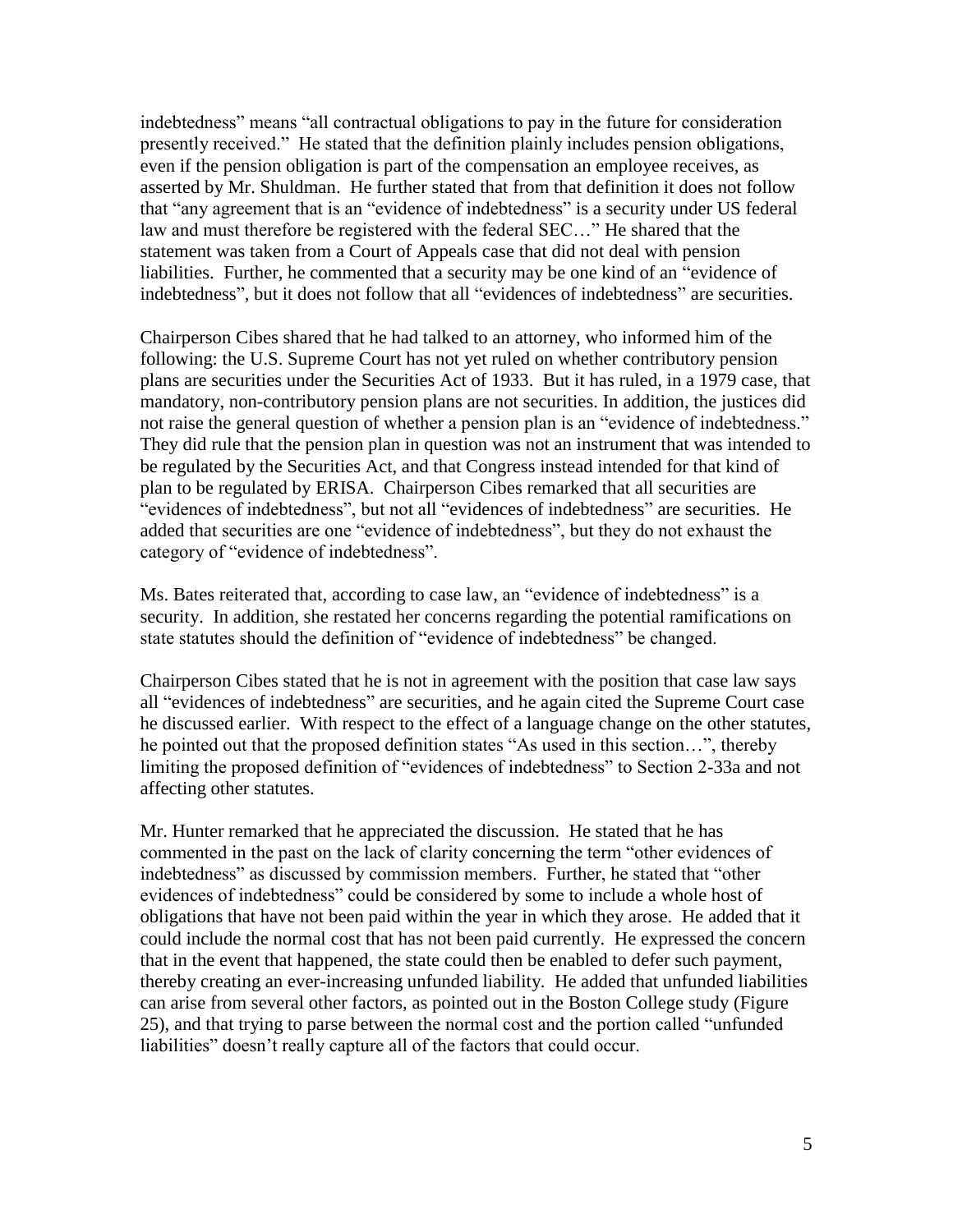indebtedness" means "all contractual obligations to pay in the future for consideration presently received." He stated that the definition plainly includes pension obligations, even if the pension obligation is part of the compensation an employee receives, as asserted by Mr. Shuldman. He further stated that from that definition it does not follow that "any agreement that is an "evidence of indebtedness" is a security under US federal law and must therefore be registered with the federal SEC…" He shared that the statement was taken from a Court of Appeals case that did not deal with pension liabilities. Further, he commented that a security may be one kind of an "evidence of indebtedness", but it does not follow that all "evidences of indebtedness" are securities.

Chairperson Cibes shared that he had talked to an attorney, who informed him of the following: the U.S. Supreme Court has not yet ruled on whether contributory pension plans are securities under the Securities Act of 1933. But it has ruled, in a 1979 case, that mandatory, non-contributory pension plans are not securities. In addition, the justices did not raise the general question of whether a pension plan is an "evidence of indebtedness." They did rule that the pension plan in question was not an instrument that was intended to be regulated by the Securities Act, and that Congress instead intended for that kind of plan to be regulated by ERISA. Chairperson Cibes remarked that all securities are "evidences of indebtedness", but not all "evidences of indebtedness" are securities. He added that securities are one "evidence of indebtedness", but they do not exhaust the category of "evidence of indebtedness".

Ms. Bates reiterated that, according to case law, an "evidence of indebtedness" is a security. In addition, she restated her concerns regarding the potential ramifications on state statutes should the definition of "evidence of indebtedness" be changed.

Chairperson Cibes stated that he is not in agreement with the position that case law says all "evidences of indebtedness" are securities, and he again cited the Supreme Court case he discussed earlier. With respect to the effect of a language change on the other statutes, he pointed out that the proposed definition states "As used in this section…", thereby limiting the proposed definition of "evidences of indebtedness" to Section 2-33a and not affecting other statutes.

Mr. Hunter remarked that he appreciated the discussion. He stated that he has commented in the past on the lack of clarity concerning the term "other evidences of indebtedness" as discussed by commission members. Further, he stated that "other evidences of indebtedness" could be considered by some to include a whole host of obligations that have not been paid within the year in which they arose. He added that it could include the normal cost that has not been paid currently. He expressed the concern that in the event that happened, the state could then be enabled to defer such payment, thereby creating an ever-increasing unfunded liability. He added that unfunded liabilities can arise from several other factors, as pointed out in the Boston College study (Figure 25), and that trying to parse between the normal cost and the portion called "unfunded liabilities" doesn't really capture all of the factors that could occur.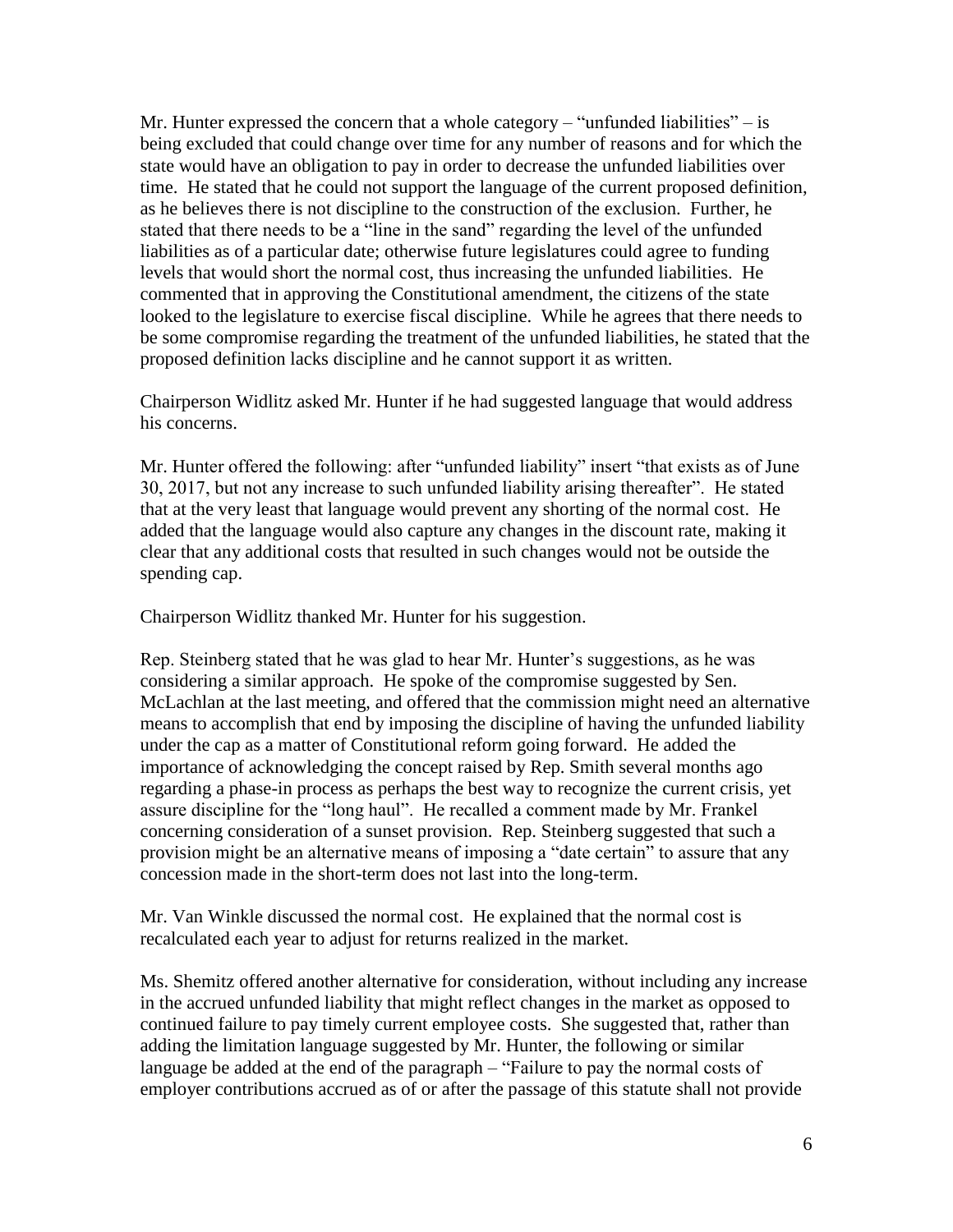Mr. Hunter expressed the concern that a whole category – "unfunded liabilities" – is being excluded that could change over time for any number of reasons and for which the state would have an obligation to pay in order to decrease the unfunded liabilities over time. He stated that he could not support the language of the current proposed definition, as he believes there is not discipline to the construction of the exclusion. Further, he stated that there needs to be a "line in the sand" regarding the level of the unfunded liabilities as of a particular date; otherwise future legislatures could agree to funding levels that would short the normal cost, thus increasing the unfunded liabilities. He commented that in approving the Constitutional amendment, the citizens of the state looked to the legislature to exercise fiscal discipline. While he agrees that there needs to be some compromise regarding the treatment of the unfunded liabilities, he stated that the proposed definition lacks discipline and he cannot support it as written.

Chairperson Widlitz asked Mr. Hunter if he had suggested language that would address his concerns.

Mr. Hunter offered the following: after "unfunded liability" insert "that exists as of June 30, 2017, but not any increase to such unfunded liability arising thereafter". He stated that at the very least that language would prevent any shorting of the normal cost. He added that the language would also capture any changes in the discount rate, making it clear that any additional costs that resulted in such changes would not be outside the spending cap.

Chairperson Widlitz thanked Mr. Hunter for his suggestion.

Rep. Steinberg stated that he was glad to hear Mr. Hunter's suggestions, as he was considering a similar approach. He spoke of the compromise suggested by Sen. McLachlan at the last meeting, and offered that the commission might need an alternative means to accomplish that end by imposing the discipline of having the unfunded liability under the cap as a matter of Constitutional reform going forward. He added the importance of acknowledging the concept raised by Rep. Smith several months ago regarding a phase-in process as perhaps the best way to recognize the current crisis, yet assure discipline for the "long haul". He recalled a comment made by Mr. Frankel concerning consideration of a sunset provision. Rep. Steinberg suggested that such a provision might be an alternative means of imposing a "date certain" to assure that any concession made in the short-term does not last into the long-term.

Mr. Van Winkle discussed the normal cost. He explained that the normal cost is recalculated each year to adjust for returns realized in the market.

Ms. Shemitz offered another alternative for consideration, without including any increase in the accrued unfunded liability that might reflect changes in the market as opposed to continued failure to pay timely current employee costs. She suggested that, rather than adding the limitation language suggested by Mr. Hunter, the following or similar language be added at the end of the paragraph – "Failure to pay the normal costs of employer contributions accrued as of or after the passage of this statute shall not provide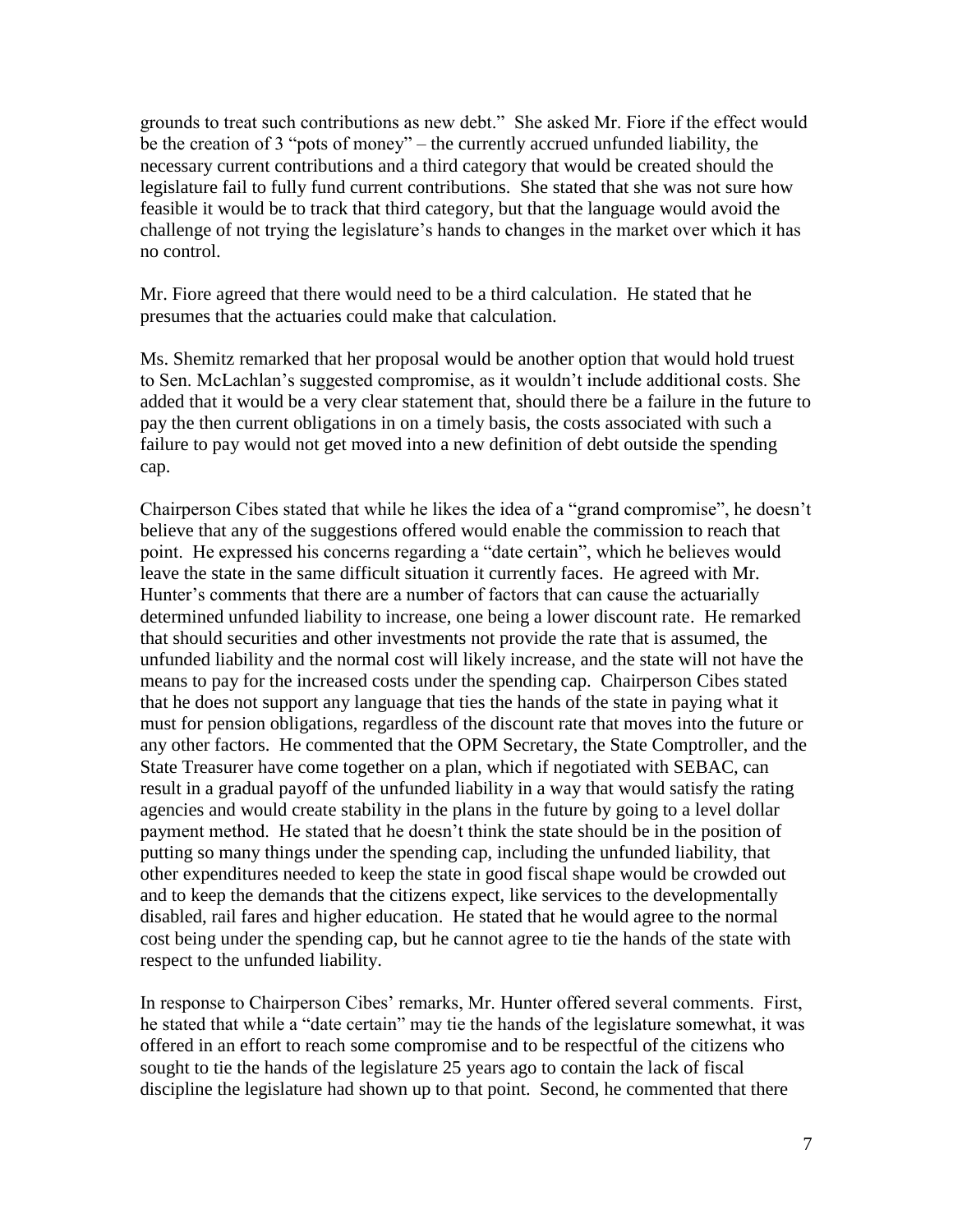grounds to treat such contributions as new debt." She asked Mr. Fiore if the effect would be the creation of 3 "pots of money" – the currently accrued unfunded liability, the necessary current contributions and a third category that would be created should the legislature fail to fully fund current contributions. She stated that she was not sure how feasible it would be to track that third category, but that the language would avoid the challenge of not trying the legislature's hands to changes in the market over which it has no control.

Mr. Fiore agreed that there would need to be a third calculation. He stated that he presumes that the actuaries could make that calculation.

Ms. Shemitz remarked that her proposal would be another option that would hold truest to Sen. McLachlan's suggested compromise, as it wouldn't include additional costs. She added that it would be a very clear statement that, should there be a failure in the future to pay the then current obligations in on a timely basis, the costs associated with such a failure to pay would not get moved into a new definition of debt outside the spending cap.

Chairperson Cibes stated that while he likes the idea of a "grand compromise", he doesn't believe that any of the suggestions offered would enable the commission to reach that point. He expressed his concerns regarding a "date certain", which he believes would leave the state in the same difficult situation it currently faces. He agreed with Mr. Hunter's comments that there are a number of factors that can cause the actuarially determined unfunded liability to increase, one being a lower discount rate. He remarked that should securities and other investments not provide the rate that is assumed, the unfunded liability and the normal cost will likely increase, and the state will not have the means to pay for the increased costs under the spending cap. Chairperson Cibes stated that he does not support any language that ties the hands of the state in paying what it must for pension obligations, regardless of the discount rate that moves into the future or any other factors. He commented that the OPM Secretary, the State Comptroller, and the State Treasurer have come together on a plan, which if negotiated with SEBAC, can result in a gradual payoff of the unfunded liability in a way that would satisfy the rating agencies and would create stability in the plans in the future by going to a level dollar payment method. He stated that he doesn't think the state should be in the position of putting so many things under the spending cap, including the unfunded liability, that other expenditures needed to keep the state in good fiscal shape would be crowded out and to keep the demands that the citizens expect, like services to the developmentally disabled, rail fares and higher education. He stated that he would agree to the normal cost being under the spending cap, but he cannot agree to tie the hands of the state with respect to the unfunded liability.

In response to Chairperson Cibes' remarks, Mr. Hunter offered several comments. First, he stated that while a "date certain" may tie the hands of the legislature somewhat, it was offered in an effort to reach some compromise and to be respectful of the citizens who sought to tie the hands of the legislature 25 years ago to contain the lack of fiscal discipline the legislature had shown up to that point. Second, he commented that there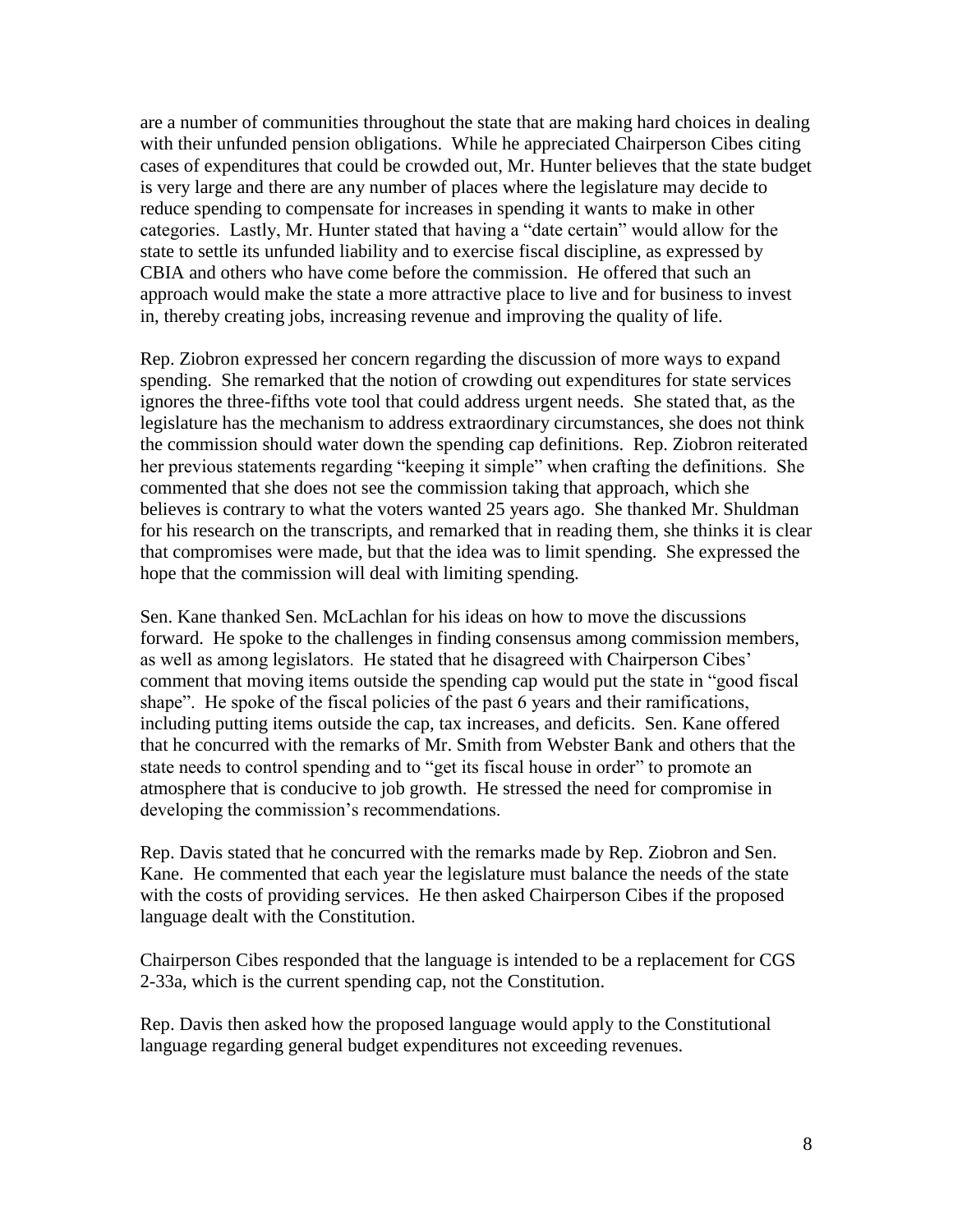are a number of communities throughout the state that are making hard choices in dealing with their unfunded pension obligations. While he appreciated Chairperson Cibes citing cases of expenditures that could be crowded out, Mr. Hunter believes that the state budget is very large and there are any number of places where the legislature may decide to reduce spending to compensate for increases in spending it wants to make in other categories. Lastly, Mr. Hunter stated that having a "date certain" would allow for the state to settle its unfunded liability and to exercise fiscal discipline, as expressed by CBIA and others who have come before the commission. He offered that such an approach would make the state a more attractive place to live and for business to invest in, thereby creating jobs, increasing revenue and improving the quality of life.

Rep. Ziobron expressed her concern regarding the discussion of more ways to expand spending. She remarked that the notion of crowding out expenditures for state services ignores the three-fifths vote tool that could address urgent needs. She stated that, as the legislature has the mechanism to address extraordinary circumstances, she does not think the commission should water down the spending cap definitions. Rep. Ziobron reiterated her previous statements regarding "keeping it simple" when crafting the definitions. She commented that she does not see the commission taking that approach, which she believes is contrary to what the voters wanted 25 years ago. She thanked Mr. Shuldman for his research on the transcripts, and remarked that in reading them, she thinks it is clear that compromises were made, but that the idea was to limit spending. She expressed the hope that the commission will deal with limiting spending.

Sen. Kane thanked Sen. McLachlan for his ideas on how to move the discussions forward. He spoke to the challenges in finding consensus among commission members, as well as among legislators. He stated that he disagreed with Chairperson Cibes' comment that moving items outside the spending cap would put the state in "good fiscal shape". He spoke of the fiscal policies of the past 6 years and their ramifications, including putting items outside the cap, tax increases, and deficits. Sen. Kane offered that he concurred with the remarks of Mr. Smith from Webster Bank and others that the state needs to control spending and to "get its fiscal house in order" to promote an atmosphere that is conducive to job growth. He stressed the need for compromise in developing the commission's recommendations.

Rep. Davis stated that he concurred with the remarks made by Rep. Ziobron and Sen. Kane. He commented that each year the legislature must balance the needs of the state with the costs of providing services. He then asked Chairperson Cibes if the proposed language dealt with the Constitution.

Chairperson Cibes responded that the language is intended to be a replacement for CGS 2-33a, which is the current spending cap, not the Constitution.

Rep. Davis then asked how the proposed language would apply to the Constitutional language regarding general budget expenditures not exceeding revenues.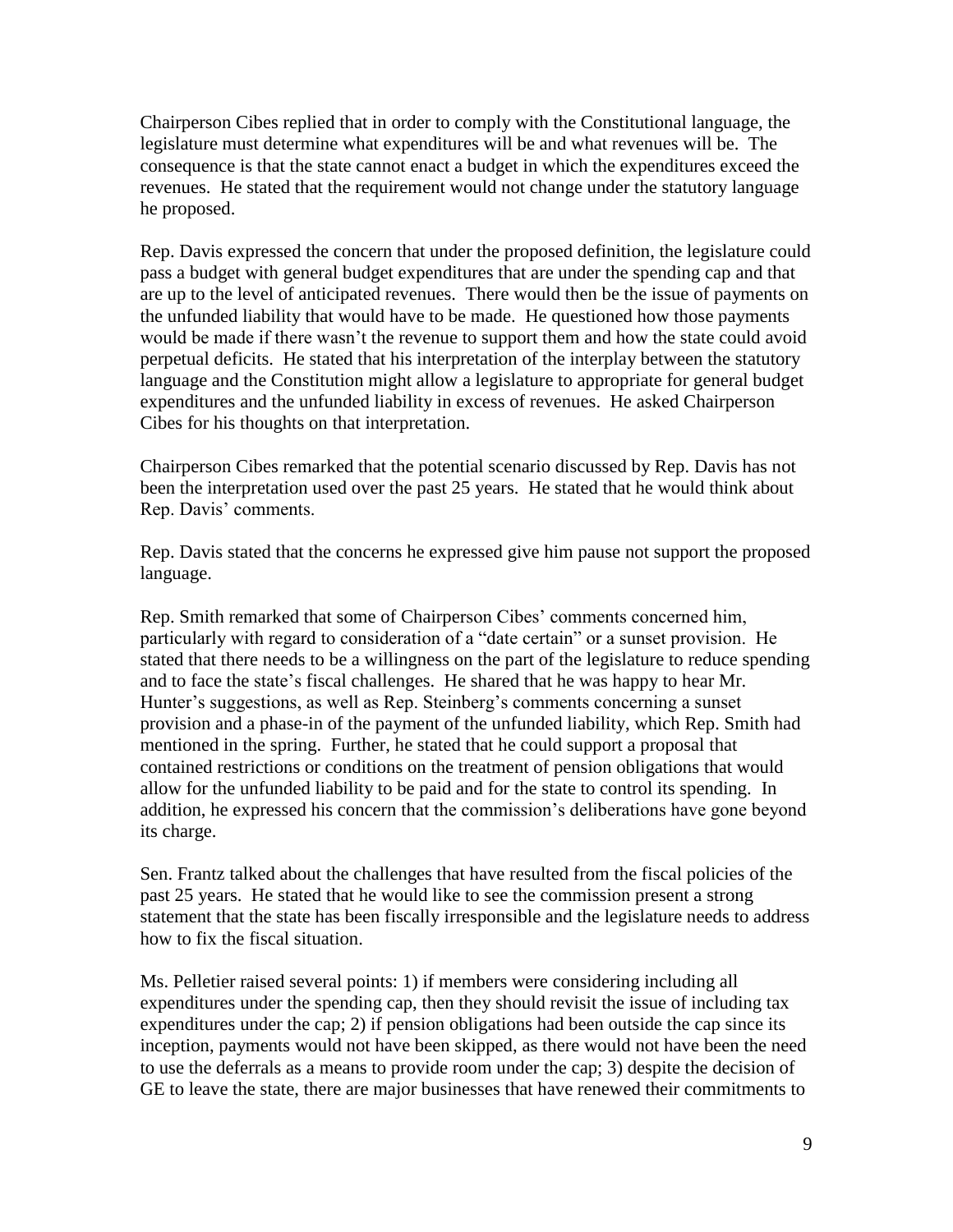Chairperson Cibes replied that in order to comply with the Constitutional language, the legislature must determine what expenditures will be and what revenues will be. The consequence is that the state cannot enact a budget in which the expenditures exceed the revenues. He stated that the requirement would not change under the statutory language he proposed.

Rep. Davis expressed the concern that under the proposed definition, the legislature could pass a budget with general budget expenditures that are under the spending cap and that are up to the level of anticipated revenues. There would then be the issue of payments on the unfunded liability that would have to be made. He questioned how those payments would be made if there wasn't the revenue to support them and how the state could avoid perpetual deficits. He stated that his interpretation of the interplay between the statutory language and the Constitution might allow a legislature to appropriate for general budget expenditures and the unfunded liability in excess of revenues. He asked Chairperson Cibes for his thoughts on that interpretation.

Chairperson Cibes remarked that the potential scenario discussed by Rep. Davis has not been the interpretation used over the past 25 years. He stated that he would think about Rep. Davis' comments.

Rep. Davis stated that the concerns he expressed give him pause not support the proposed language.

Rep. Smith remarked that some of Chairperson Cibes' comments concerned him, particularly with regard to consideration of a "date certain" or a sunset provision. He stated that there needs to be a willingness on the part of the legislature to reduce spending and to face the state's fiscal challenges. He shared that he was happy to hear Mr. Hunter's suggestions, as well as Rep. Steinberg's comments concerning a sunset provision and a phase-in of the payment of the unfunded liability, which Rep. Smith had mentioned in the spring. Further, he stated that he could support a proposal that contained restrictions or conditions on the treatment of pension obligations that would allow for the unfunded liability to be paid and for the state to control its spending. In addition, he expressed his concern that the commission's deliberations have gone beyond its charge.

Sen. Frantz talked about the challenges that have resulted from the fiscal policies of the past 25 years. He stated that he would like to see the commission present a strong statement that the state has been fiscally irresponsible and the legislature needs to address how to fix the fiscal situation.

Ms. Pelletier raised several points: 1) if members were considering including all expenditures under the spending cap, then they should revisit the issue of including tax expenditures under the cap; 2) if pension obligations had been outside the cap since its inception, payments would not have been skipped, as there would not have been the need to use the deferrals as a means to provide room under the cap; 3) despite the decision of GE to leave the state, there are major businesses that have renewed their commitments to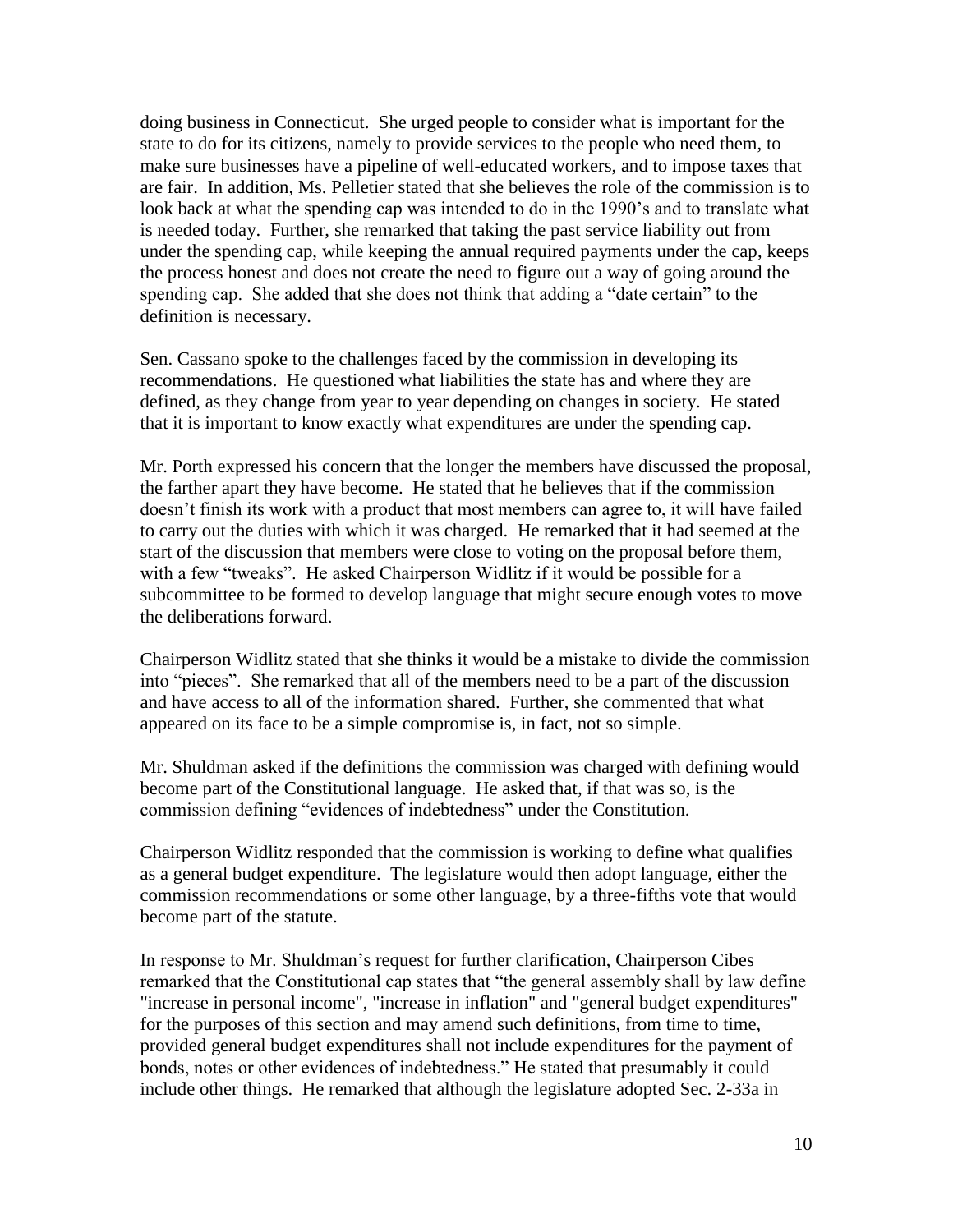doing business in Connecticut. She urged people to consider what is important for the state to do for its citizens, namely to provide services to the people who need them, to make sure businesses have a pipeline of well-educated workers, and to impose taxes that are fair. In addition, Ms. Pelletier stated that she believes the role of the commission is to look back at what the spending cap was intended to do in the 1990's and to translate what is needed today. Further, she remarked that taking the past service liability out from under the spending cap, while keeping the annual required payments under the cap, keeps the process honest and does not create the need to figure out a way of going around the spending cap. She added that she does not think that adding a "date certain" to the definition is necessary.

Sen. Cassano spoke to the challenges faced by the commission in developing its recommendations. He questioned what liabilities the state has and where they are defined, as they change from year to year depending on changes in society. He stated that it is important to know exactly what expenditures are under the spending cap.

Mr. Porth expressed his concern that the longer the members have discussed the proposal, the farther apart they have become. He stated that he believes that if the commission doesn't finish its work with a product that most members can agree to, it will have failed to carry out the duties with which it was charged. He remarked that it had seemed at the start of the discussion that members were close to voting on the proposal before them, with a few "tweaks". He asked Chairperson Widlitz if it would be possible for a subcommittee to be formed to develop language that might secure enough votes to move the deliberations forward.

Chairperson Widlitz stated that she thinks it would be a mistake to divide the commission into "pieces". She remarked that all of the members need to be a part of the discussion and have access to all of the information shared. Further, she commented that what appeared on its face to be a simple compromise is, in fact, not so simple.

Mr. Shuldman asked if the definitions the commission was charged with defining would become part of the Constitutional language. He asked that, if that was so, is the commission defining "evidences of indebtedness" under the Constitution.

Chairperson Widlitz responded that the commission is working to define what qualifies as a general budget expenditure. The legislature would then adopt language, either the commission recommendations or some other language, by a three-fifths vote that would become part of the statute.

In response to Mr. Shuldman's request for further clarification, Chairperson Cibes remarked that the Constitutional cap states that "the general assembly shall by law define "increase in personal income", "increase in inflation" and "general budget expenditures" for the purposes of this section and may amend such definitions, from time to time, provided general budget expenditures shall not include expenditures for the payment of bonds, notes or other evidences of indebtedness." He stated that presumably it could include other things. He remarked that although the legislature adopted Sec. 2-33a in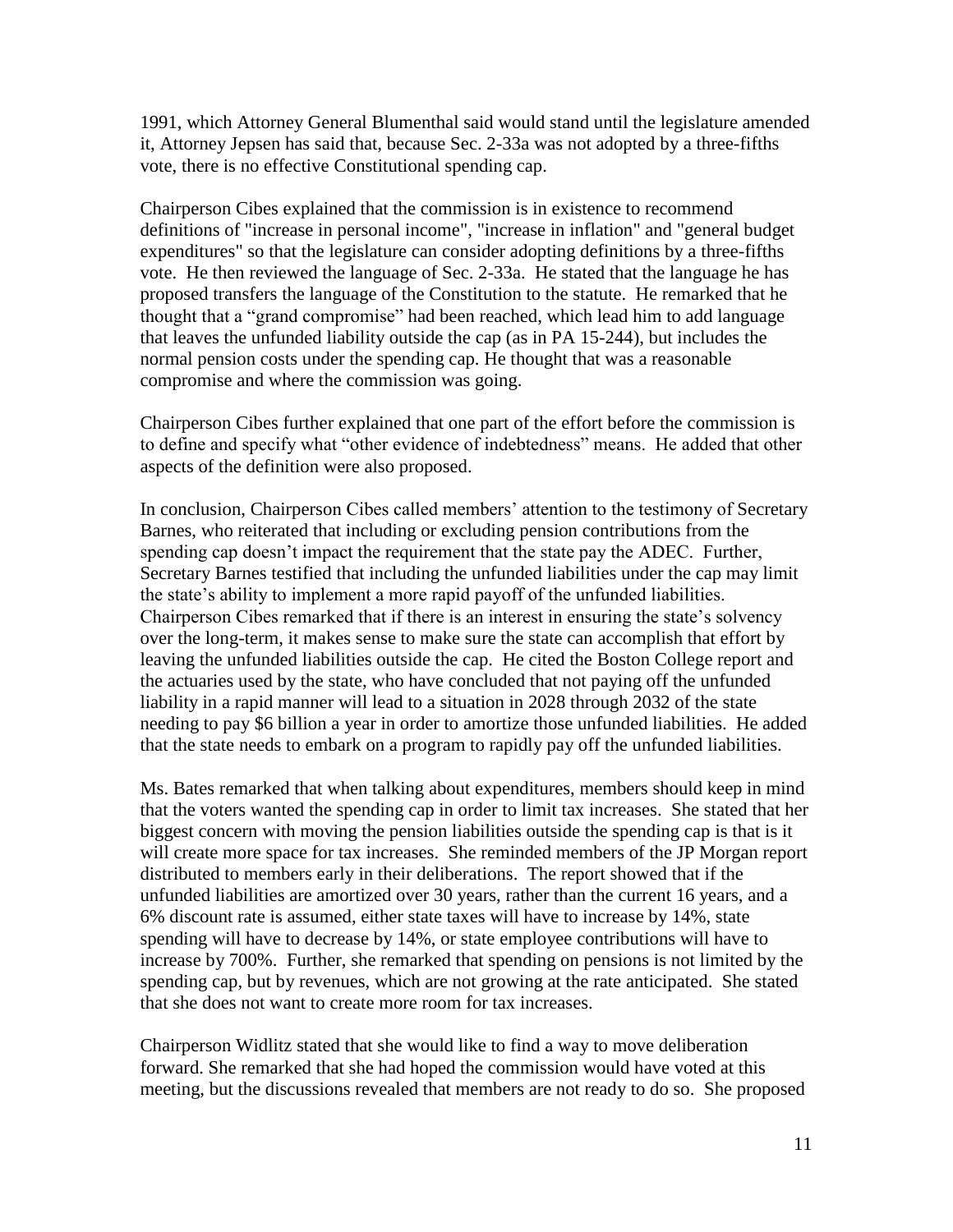1991, which Attorney General Blumenthal said would stand until the legislature amended it, Attorney Jepsen has said that, because Sec. 2-33a was not adopted by a three-fifths vote, there is no effective Constitutional spending cap.

Chairperson Cibes explained that the commission is in existence to recommend definitions of "increase in personal income", "increase in inflation" and "general budget expenditures" so that the legislature can consider adopting definitions by a three-fifths vote. He then reviewed the language of Sec. 2-33a. He stated that the language he has proposed transfers the language of the Constitution to the statute. He remarked that he thought that a "grand compromise" had been reached, which lead him to add language that leaves the unfunded liability outside the cap (as in PA 15-244), but includes the normal pension costs under the spending cap. He thought that was a reasonable compromise and where the commission was going.

Chairperson Cibes further explained that one part of the effort before the commission is to define and specify what "other evidence of indebtedness" means. He added that other aspects of the definition were also proposed.

In conclusion, Chairperson Cibes called members' attention to the testimony of Secretary Barnes, who reiterated that including or excluding pension contributions from the spending cap doesn't impact the requirement that the state pay the ADEC. Further, Secretary Barnes testified that including the unfunded liabilities under the cap may limit the state's ability to implement a more rapid payoff of the unfunded liabilities. Chairperson Cibes remarked that if there is an interest in ensuring the state's solvency over the long-term, it makes sense to make sure the state can accomplish that effort by leaving the unfunded liabilities outside the cap. He cited the Boston College report and the actuaries used by the state, who have concluded that not paying off the unfunded liability in a rapid manner will lead to a situation in 2028 through 2032 of the state needing to pay \$6 billion a year in order to amortize those unfunded liabilities. He added that the state needs to embark on a program to rapidly pay off the unfunded liabilities.

Ms. Bates remarked that when talking about expenditures, members should keep in mind that the voters wanted the spending cap in order to limit tax increases. She stated that her biggest concern with moving the pension liabilities outside the spending cap is that is it will create more space for tax increases. She reminded members of the JP Morgan report distributed to members early in their deliberations. The report showed that if the unfunded liabilities are amortized over 30 years, rather than the current 16 years, and a 6% discount rate is assumed, either state taxes will have to increase by 14%, state spending will have to decrease by 14%, or state employee contributions will have to increase by 700%. Further, she remarked that spending on pensions is not limited by the spending cap, but by revenues, which are not growing at the rate anticipated. She stated that she does not want to create more room for tax increases.

Chairperson Widlitz stated that she would like to find a way to move deliberation forward. She remarked that she had hoped the commission would have voted at this meeting, but the discussions revealed that members are not ready to do so. She proposed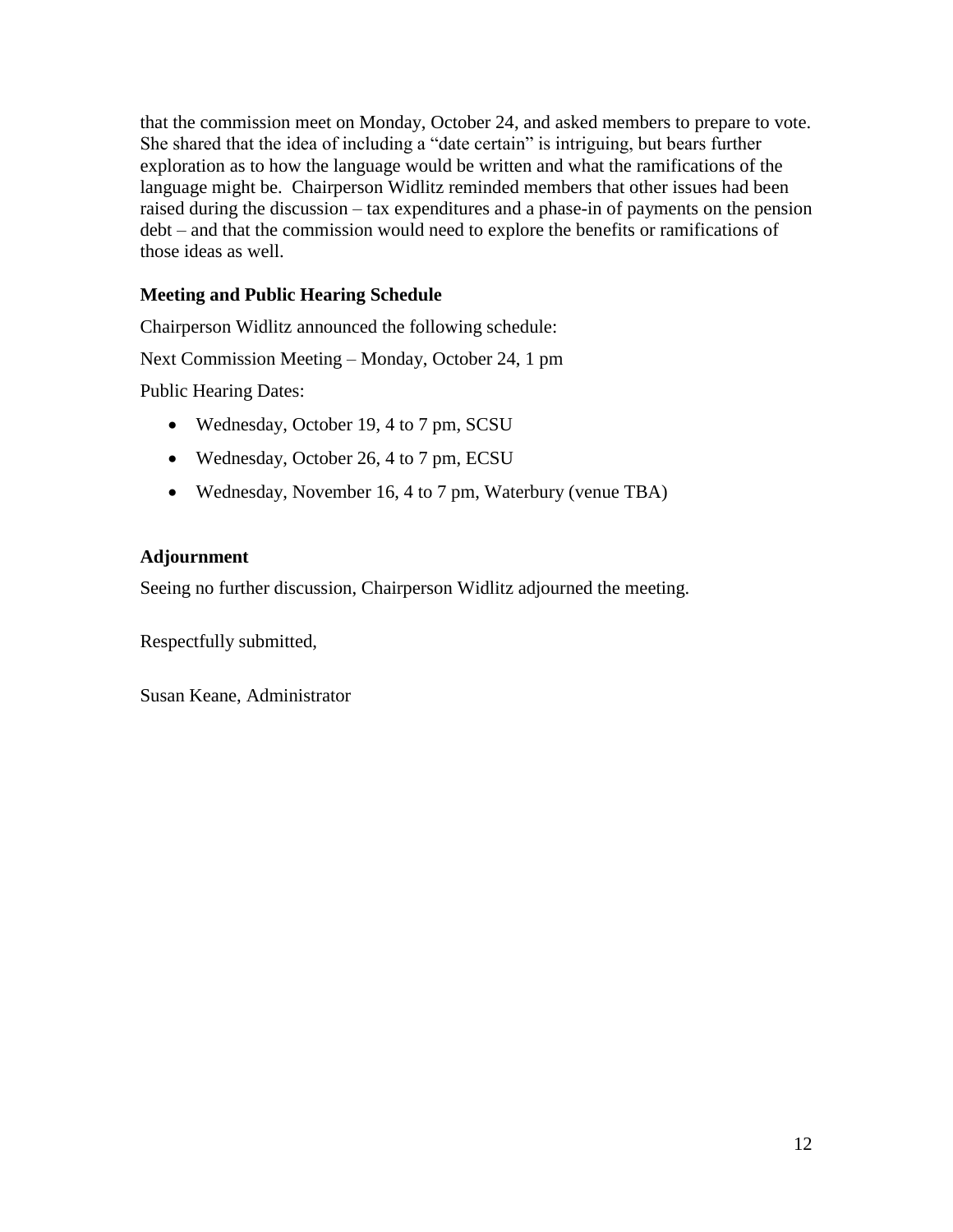that the commission meet on Monday, October 24, and asked members to prepare to vote. She shared that the idea of including a "date certain" is intriguing, but bears further exploration as to how the language would be written and what the ramifications of the language might be. Chairperson Widlitz reminded members that other issues had been raised during the discussion – tax expenditures and a phase-in of payments on the pension debt – and that the commission would need to explore the benefits or ramifications of those ideas as well.

# **Meeting and Public Hearing Schedule**

Chairperson Widlitz announced the following schedule:

Next Commission Meeting – Monday, October 24, 1 pm

Public Hearing Dates:

- Wednesday, October 19, 4 to 7 pm, SCSU
- Wednesday, October 26, 4 to 7 pm, ECSU
- Wednesday, November 16, 4 to 7 pm, Waterbury (venue TBA)

# **Adjournment**

Seeing no further discussion, Chairperson Widlitz adjourned the meeting.

Respectfully submitted,

Susan Keane, Administrator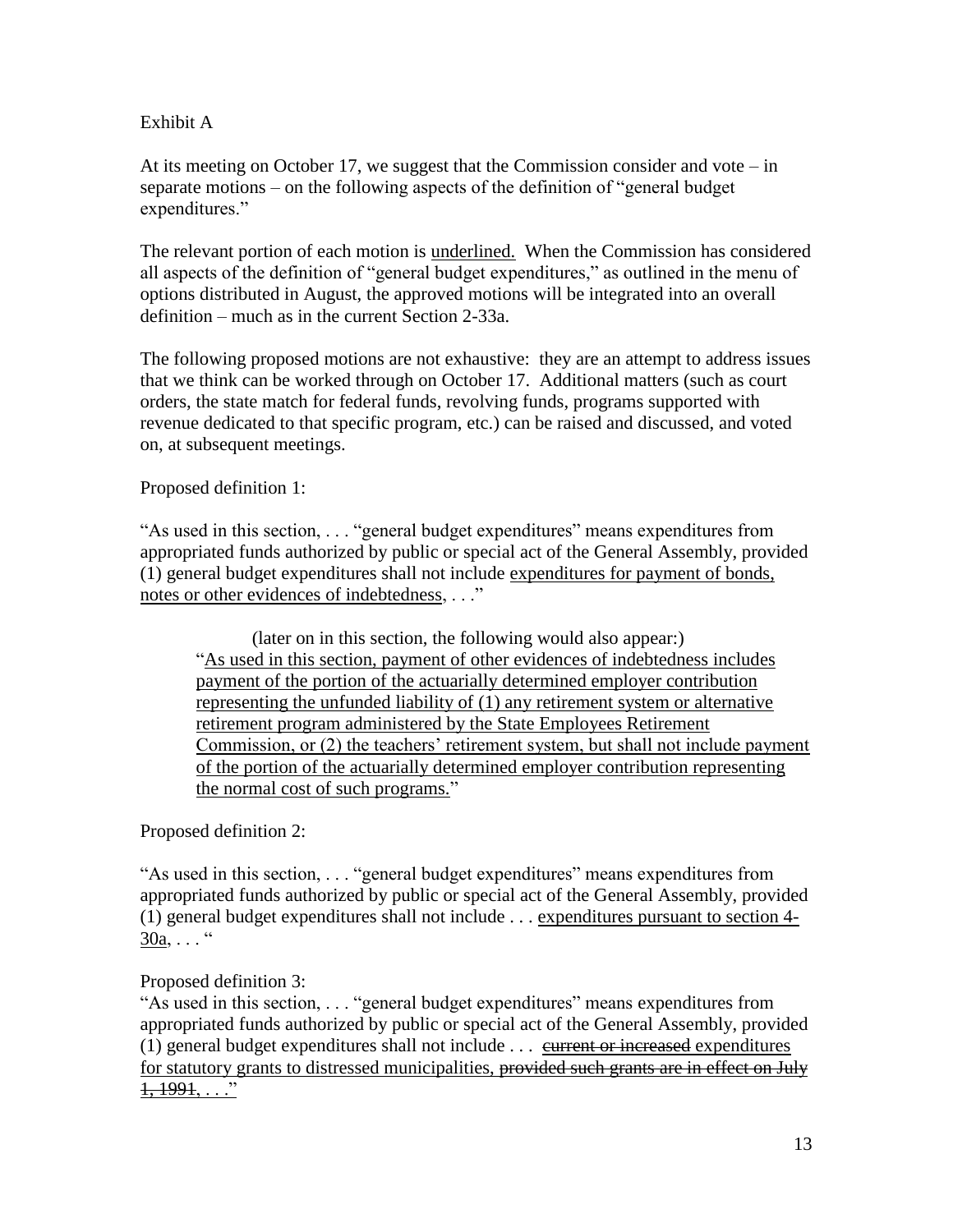# Exhibit A

At its meeting on October 17, we suggest that the Commission consider and vote  $-$  in separate motions – on the following aspects of the definition of "general budget expenditures."

The relevant portion of each motion is underlined. When the Commission has considered all aspects of the definition of "general budget expenditures," as outlined in the menu of options distributed in August, the approved motions will be integrated into an overall definition – much as in the current Section 2-33a.

The following proposed motions are not exhaustive: they are an attempt to address issues that we think can be worked through on October 17. Additional matters (such as court orders, the state match for federal funds, revolving funds, programs supported with revenue dedicated to that specific program, etc.) can be raised and discussed, and voted on, at subsequent meetings.

Proposed definition 1:

"As used in this section, . . . "general budget expenditures" means expenditures from appropriated funds authorized by public or special act of the General Assembly, provided (1) general budget expenditures shall not include expenditures for payment of bonds, notes or other evidences of indebtedness, . . ."

(later on in this section, the following would also appear:) "As used in this section, payment of other evidences of indebtedness includes payment of the portion of the actuarially determined employer contribution representing the unfunded liability of (1) any retirement system or alternative retirement program administered by the State Employees Retirement Commission, or (2) the teachers' retirement system, but shall not include payment of the portion of the actuarially determined employer contribution representing the normal cost of such programs."

Proposed definition 2:

"As used in this section, . . . "general budget expenditures" means expenditures from appropriated funds authorized by public or special act of the General Assembly, provided (1) general budget expenditures shall not include . . . expenditures pursuant to section 4-  $30a, \ldots$  "

Proposed definition 3:

"As used in this section, . . . "general budget expenditures" means expenditures from appropriated funds authorized by public or special act of the General Assembly, provided (1) general budget expenditures shall not include . . . current or increased expenditures for statutory grants to distressed municipalities, provided such grants are in effect on July  $1, 1991, \ldots$ "